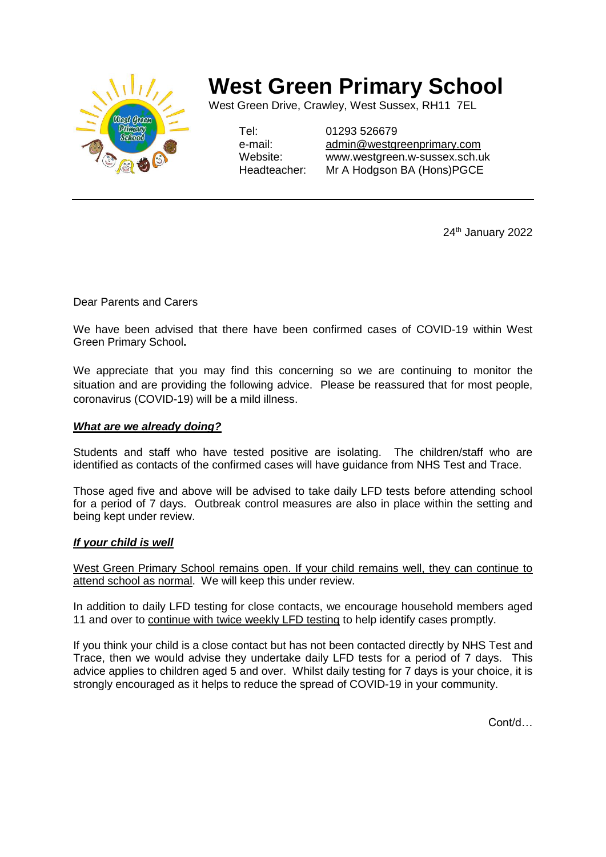

# **West Green Primary School**

West Green Drive, Crawley, West Sussex, RH11 7EL

Tel: 01293 526679

e-mail: [admin@westgreenprimary.com](mailto:admin@westgreenprimary.com) Website: www.westgreen.w-sussex.sch.uk Headteacher: Mr A Hodgson BA (Hons)PGCE

24<sup>th</sup> January 2022

Dear Parents and Carers

We have been advised that there have been confirmed cases of COVID-19 within West Green Primary School**.**

We appreciate that you may find this concerning so we are continuing to monitor the situation and are providing the following advice. Please be reassured that for most people, coronavirus (COVID-19) will be a mild illness.

### *What are we already doing?*

Students and staff who have tested positive are isolating. The children/staff who are identified as contacts of the confirmed cases will have guidance from NHS Test and Trace.

Those aged five and above will be advised to take daily LFD tests before attending school for a period of 7 days. Outbreak control measures are also in place within the setting and being kept under review.

### *If your child is well*

West Green Primary School remains open. If your child remains well, they can continue to attend school as normal. We will keep this under review.

In addition to daily LFD testing for close contacts, we encourage household members aged 11 and over to continue with twice weekly LFD testing to help identify cases promptly.

If you think your child is a close contact but has not been contacted directly by NHS Test and Trace, then we would advise they undertake daily LFD tests for a period of 7 days. This advice applies to children aged 5 and over. Whilst daily testing for 7 days is your choice, it is strongly encouraged as it helps to reduce the spread of COVID-19 in your community.

Cont/d…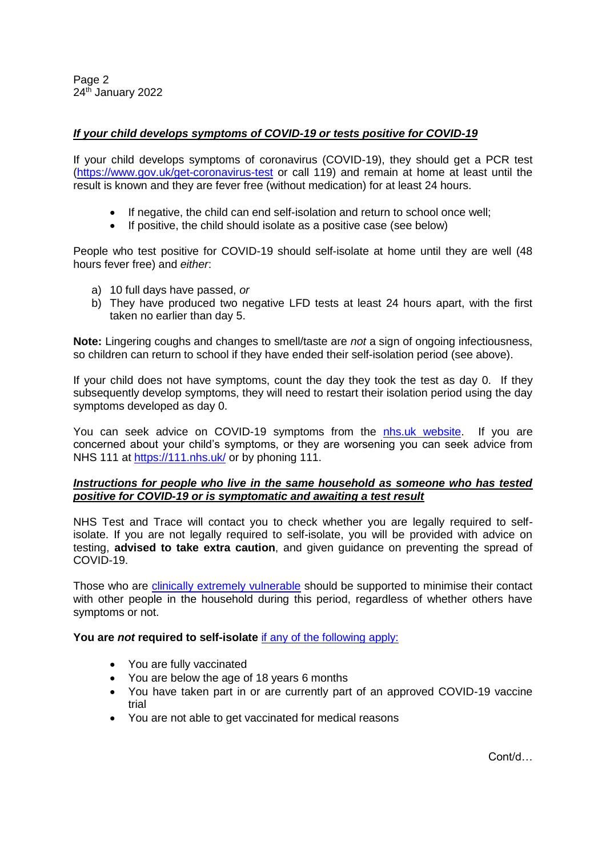Page 2 24<sup>th</sup> January 2022

## *If your child develops symptoms of COVID-19 or tests positive for COVID-19*

If your child develops symptoms of coronavirus (COVID-19), they should get a PCR test [\(https://www.gov.uk/get-coronavirus-test](https://www.gov.uk/get-coronavirus-test) or call 119) and remain at home at least until the result is known and they are fever free (without medication) for at least 24 hours.

- If negative, the child can end self-isolation and return to school once well;
- If positive, the child should isolate as a positive case (see below)

People who test positive for COVID-19 should self-isolate at home until they are well (48 hours fever free) and *either*:

- a) 10 full days have passed, *or*
- b) They have produced two negative LFD tests at least 24 hours apart, with the first taken no earlier than day 5.

**Note:** Lingering coughs and changes to smell/taste are *not* a sign of ongoing infectiousness, so children can return to school if they have ended their self-isolation period (see above).

If your child does not have symptoms, count the day they took the test as day 0. If they subsequently develop symptoms, they will need to restart their isolation period using the day symptoms developed as day 0.

You can seek advice on COVID-19 symptoms from the [nhs.uk website.](https://www.nhs.uk/conditions/coronavirus-covid-19/check-if-you-have-coronavirus-symptoms/) If you are concerned about your child's symptoms, or they are worsening you can seek advice from NHS 111 at<https://111.nhs.uk/> or by phoning 111.

### *Instructions for people who live in the same household as someone who has tested positive for COVID-19 or is symptomatic and awaiting a test result*

NHS Test and Trace will contact you to check whether you are legally required to selfisolate. If you are not legally required to self-isolate, you will be provided with advice on testing, **advised to take extra caution**, and given guidance on preventing the spread of COVID-19.

Those who are [clinically extremely vulnerable](https://www.gov.uk/government/publications/guidance-on-shielding-and-protecting-extremely-vulnerable-persons-from-covid-19/guidance-on-shielding-and-protecting-extremely-vulnerable-persons-from-covid-19) should be supported to minimise their contact with other people in the household during this period, regardless of whether others have symptoms or not.

**You are** *not* **required to self-isolate** [if any of the following apply:](https://www.gov.uk/government/publications/covid-19-stay-at-home-guidance/stay-at-home-guidance-for-households-with-possible-coronavirus-covid-19-infection#exempt)

- You are fully vaccinated
- You are below the age of 18 years 6 months
- You have taken part in or are currently part of an approved COVID-19 vaccine trial
- You are not able to get vaccinated for medical reasons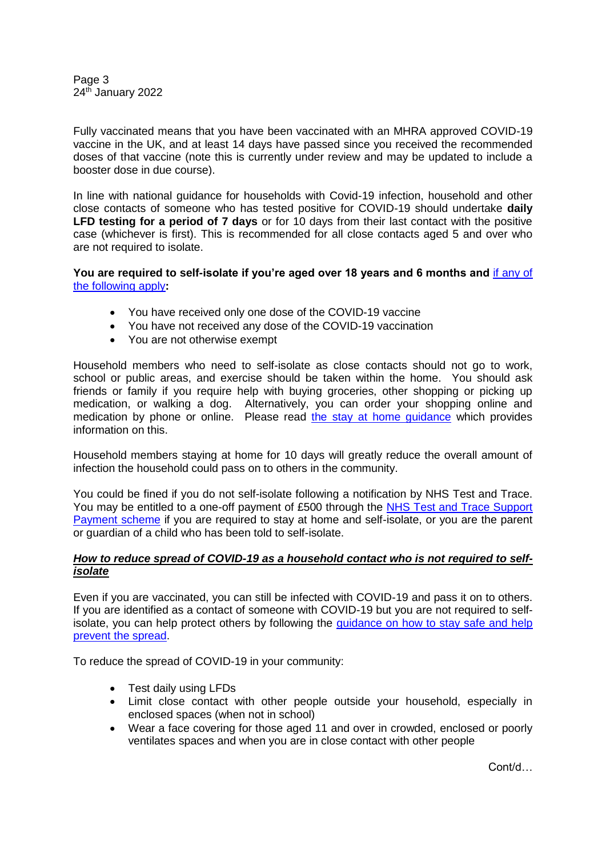Page 3 24<sup>th</sup> January 2022

Fully vaccinated means that you have been vaccinated with an MHRA approved COVID-19 vaccine in the UK, and at least 14 days have passed since you received the recommended doses of that vaccine (note this is currently under review and may be updated to include a booster dose in due course).

In line with national guidance for households with Covid-19 infection, household and other close contacts of someone who has tested positive for COVID-19 should undertake **daily LFD testing for a period of 7 days** or for 10 days from their last contact with the positive case (whichever is first). This is recommended for all close contacts aged 5 and over who are not required to isolate.

**You are required to self-isolate if you're aged over 18 years and 6 months and** [if any of](https://www.nhs.uk/conditions/coronavirus-covid-19/self-isolation-and-treatment/when-to-self-isolate-and-what-to-do/)  [the following apply](https://www.nhs.uk/conditions/coronavirus-covid-19/self-isolation-and-treatment/when-to-self-isolate-and-what-to-do/)**:**

- You have received only one dose of the COVID-19 vaccine
- You have not received any dose of the COVID-19 vaccination
- You are not otherwise exempt

Household members who need to self-isolate as close contacts should not go to work, school or public areas, and exercise should be taken within the home. You should ask friends or family if you require help with buying groceries, other shopping or picking up medication, or walking a dog. Alternatively, you can order your shopping online and medication by phone or online. Please read the stay at home quidance which provides information on this.

Household members staying at home for 10 days will greatly reduce the overall amount of infection the household could pass on to others in the community.

You could be fined if you do not self-isolate following a notification by NHS Test and Trace. You may be entitled to a one-off payment of £500 through the [NHS Test and Trace Support](https://www.gov.uk/government/publications/test-and-trace-support-payment-scheme-claiming-financial-support/claiming-financial-support-under-the-test-and-trace-support-payment-scheme)  [Payment scheme](https://www.gov.uk/government/publications/test-and-trace-support-payment-scheme-claiming-financial-support/claiming-financial-support-under-the-test-and-trace-support-payment-scheme) if you are required to stay at home and self-isolate, or you are the parent or guardian of a child who has been told to self-isolate.

### *How to reduce spread of COVID-19 as a household contact who is not required to selfisolate*

Even if you are vaccinated, you can still be infected with COVID-19 and pass it on to others. If you are identified as a contact of someone with COVID-19 but you are not required to selfisolate, you can help protect others by following the [guidance on how to stay safe and help](https://www.gov.uk/guidance/covid-19-coronavirus-restrictions-what-you-can-and-cannot-do#keeping-yourself-and-others-safe)  [prevent the spread.](https://www.gov.uk/guidance/covid-19-coronavirus-restrictions-what-you-can-and-cannot-do#keeping-yourself-and-others-safe)

To reduce the spread of COVID-19 in your community:

- Test daily using LFDs
- Limit close contact with other people outside your household, especially in enclosed spaces (when not in school)
- Wear a face covering for those aged 11 and over in crowded, enclosed or poorly ventilates spaces and when you are in close contact with other people

Cont/d…